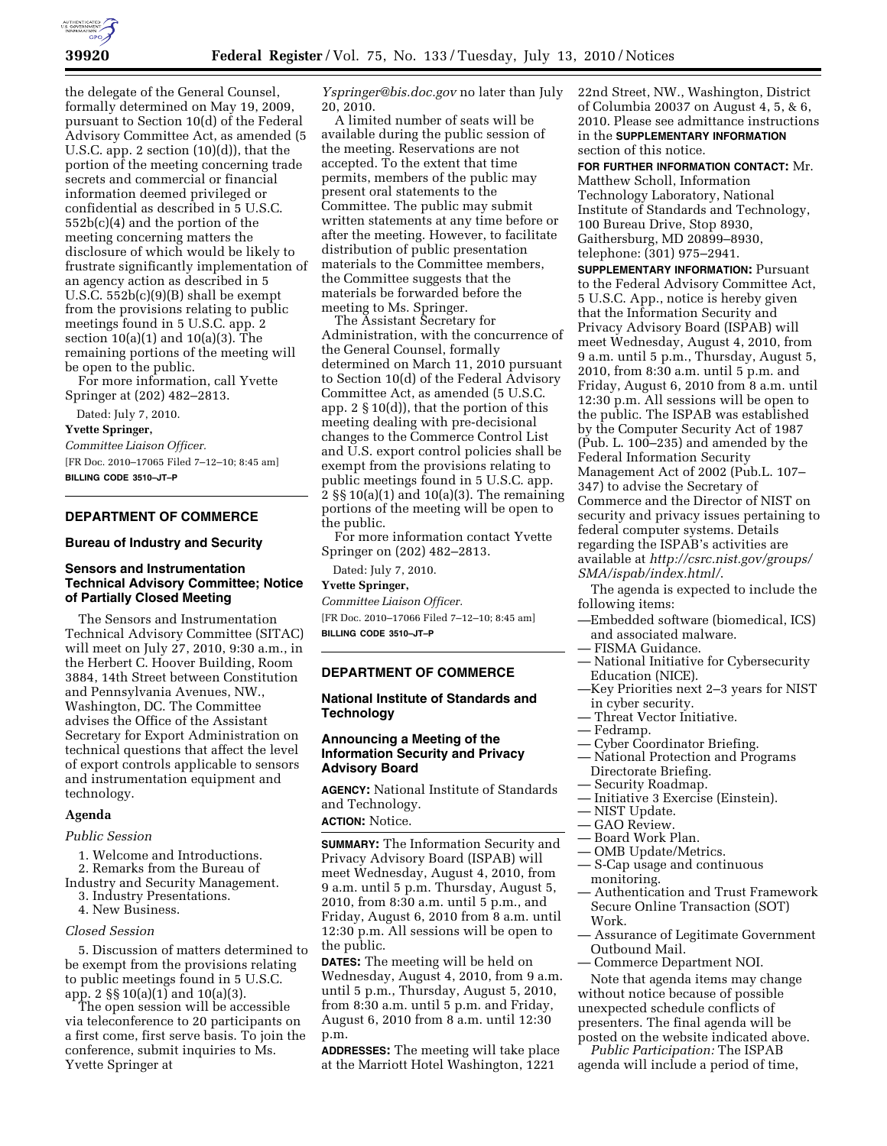

the delegate of the General Counsel, formally determined on May 19, 2009, pursuant to Section 10(d) of the Federal Advisory Committee Act, as amended (5 U.S.C. app. 2 section (10)(d)), that the portion of the meeting concerning trade secrets and commercial or financial information deemed privileged or confidential as described in 5 U.S.C. 552b(c)(4) and the portion of the meeting concerning matters the disclosure of which would be likely to frustrate significantly implementation of an agency action as described in 5 U.S.C. 552b(c)(9)(B) shall be exempt from the provisions relating to public meetings found in 5 U.S.C. app. 2 section 10(a)(1) and 10(a)(3). The remaining portions of the meeting will be open to the public.

For more information, call Yvette Springer at (202) 482–2813.

Dated: July 7, 2010.

#### **Yvette Springer,**

*Committee Liaison Officer.*  [FR Doc. 2010–17065 Filed 7–12–10; 8:45 am]

# **BILLING CODE 3510–JT–P**

# **DEPARTMENT OF COMMERCE**

# **Bureau of Industry and Security**

# **Sensors and Instrumentation Technical Advisory Committee; Notice of Partially Closed Meeting**

The Sensors and Instrumentation Technical Advisory Committee (SITAC) will meet on July 27, 2010, 9:30 a.m., in the Herbert C. Hoover Building, Room 3884, 14th Street between Constitution and Pennsylvania Avenues, NW., Washington, DC. The Committee advises the Office of the Assistant Secretary for Export Administration on technical questions that affect the level of export controls applicable to sensors and instrumentation equipment and technology.

#### **Agenda**

### *Public Session*

- 1. Welcome and Introductions.
- 2. Remarks from the Bureau of
- Industry and Security Management. 3. Industry Presentations.
	- 4. New Business.

#### *Closed Session*

5. Discussion of matters determined to be exempt from the provisions relating to public meetings found in 5 U.S.C. app. 2  $\S\S 10(a)(1)$  and  $10(a)(3)$ .

The open session will be accessible via teleconference to 20 participants on a first come, first serve basis. To join the conference, submit inquiries to Ms. Yvette Springer at

*Yspringer@bis.doc.gov* no later than July 20, 2010.

A limited number of seats will be available during the public session of the meeting. Reservations are not accepted. To the extent that time permits, members of the public may present oral statements to the Committee. The public may submit written statements at any time before or after the meeting. However, to facilitate distribution of public presentation materials to the Committee members, the Committee suggests that the materials be forwarded before the meeting to Ms. Springer.

The Assistant Secretary for Administration, with the concurrence of the General Counsel, formally determined on March 11, 2010 pursuant to Section 10(d) of the Federal Advisory Committee Act, as amended (5 U.S.C. app. 2  $\S 10(d)$ , that the portion of this meeting dealing with pre-decisional changes to the Commerce Control List and U.S. export control policies shall be exempt from the provisions relating to public meetings found in 5 U.S.C. app. 2 §§ 10(a)(1) and 10(a)(3). The remaining portions of the meeting will be open to the public.

For more information contact Yvette Springer on (202) 482–2813.

Dated: July 7, 2010.

# **Yvette Springer,**

*Committee Liaison Officer.*  [FR Doc. 2010–17066 Filed 7–12–10; 8:45 am] **BILLING CODE 3510–JT–P** 

### **DEPARTMENT OF COMMERCE**

# **National Institute of Standards and Technology**

# **Announcing a Meeting of the Information Security and Privacy Advisory Board**

**AGENCY:** National Institute of Standards and Technology.

# **ACTION:** Notice.

**SUMMARY:** The Information Security and Privacy Advisory Board (ISPAB) will meet Wednesday, August 4, 2010, from 9 a.m. until 5 p.m. Thursday, August 5, 2010, from 8:30 a.m. until 5 p.m., and Friday, August 6, 2010 from 8 a.m. until 12:30 p.m. All sessions will be open to the public.

**DATES:** The meeting will be held on Wednesday, August 4, 2010, from 9 a.m. until 5 p.m., Thursday, August 5, 2010, from 8:30 a.m. until 5 p.m. and Friday, August 6, 2010 from 8 a.m. until 12:30 p.m.

**ADDRESSES:** The meeting will take place at the Marriott Hotel Washington, 1221

22nd Street, NW., Washington, District of Columbia 20037 on August 4, 5, & 6, 2010. Please see admittance instructions in the **SUPPLEMENTARY INFORMATION** section of this notice.

**FOR FURTHER INFORMATION CONTACT:** Mr. Matthew Scholl, Information Technology Laboratory, National Institute of Standards and Technology, 100 Bureau Drive, Stop 8930, Gaithersburg, MD 20899–8930, telephone: (301) 975–2941.

**SUPPLEMENTARY INFORMATION:** Pursuant to the Federal Advisory Committee Act, 5 U.S.C. App., notice is hereby given that the Information Security and Privacy Advisory Board (ISPAB) will meet Wednesday, August 4, 2010, from 9 a.m. until 5 p.m., Thursday, August 5, 2010, from 8:30 a.m. until 5 p.m. and Friday, August 6, 2010 from 8 a.m. until 12:30 p.m. All sessions will be open to the public. The ISPAB was established by the Computer Security Act of 1987 (Pub. L. 100–235) and amended by the Federal Information Security Management Act of 2002 (Pub.L. 107– 347) to advise the Secretary of Commerce and the Director of NIST on security and privacy issues pertaining to federal computer systems. Details regarding the ISPAB's activities are available at *http://csrc.nist.gov/groups/ SMA/ispab/index.html/*.

The agenda is expected to include the following items:

—Embedded software (biomedical, ICS) and associated malware.

- FISMA Guidance.
- National Initiative for Cybersecurity Education (NICE).
- —Key Priorities next 2–3 years for NIST in cyber security.
- Threat Vector Initiative.
- Fedramp.
- Cyber Coordinator Briefing.
- National Protection and Programs Directorate Briefing.
- Security Roadmap.
- Initiative 3 Exercise (Einstein).
- NIST Update.
- GAO Review.
- Board Work Plan.
- OMB Update/Metrics.
- S-Cap usage and continuous monitoring.
- Authentication and Trust Framework Secure Online Transaction (SOT) Work.
- Assurance of Legitimate Government Outbound Mail.
- Commerce Department NOI.

Note that agenda items may change without notice because of possible unexpected schedule conflicts of presenters. The final agenda will be posted on the website indicated above.

*Public Participation:* The ISPAB agenda will include a period of time,